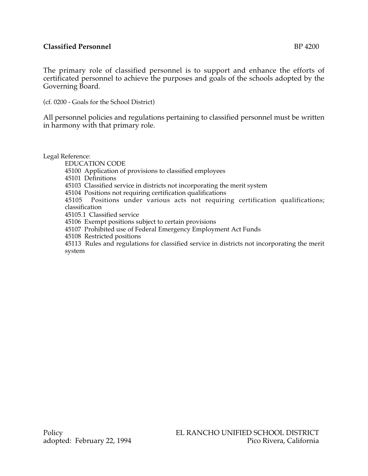## **Classified Personnel** BP 4200

The primary role of classified personnel is to support and enhance the efforts of certificated personnel to achieve the purposes and goals of the schools adopted by the Governing Board.

(cf. 0200 - Goals for the School District)

All personnel policies and regulations pertaining to classified personnel must be written in harmony with that primary role.

Legal Reference:

EDUCATION CODE

45100 Application of provisions to classified employees

45101 Definitions

45103 Classified service in districts not incorporating the merit system

45104 Positions not requiring certification qualifications

45105 Positions under various acts not requiring certification qualifications; classification

45105.1 Classified service

45106 Exempt positions subject to certain provisions

45107 Prohibited use of Federal Emergency Employment Act Funds

45108 Restricted positions

45113 Rules and regulations for classified service in districts not incorporating the merit system